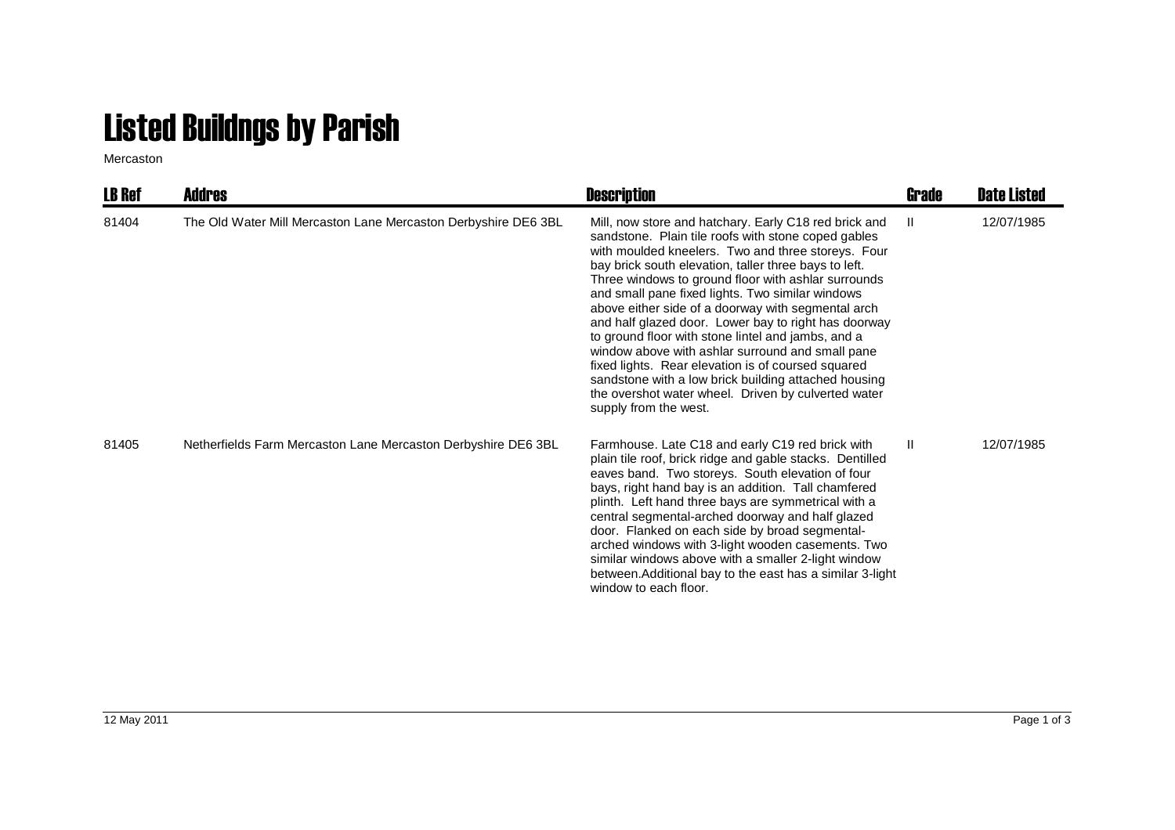## Listed Buildngs by Parish

Mercaston

| <b>LB Ref</b> | <b>Addres</b>                                                  | <b>Description</b>                                                                                                                                                                                                                                                                                                                                                                                                                                                                                                                                                                                                                                                                                                                                           | Grade | <b>Date Listed</b> |
|---------------|----------------------------------------------------------------|--------------------------------------------------------------------------------------------------------------------------------------------------------------------------------------------------------------------------------------------------------------------------------------------------------------------------------------------------------------------------------------------------------------------------------------------------------------------------------------------------------------------------------------------------------------------------------------------------------------------------------------------------------------------------------------------------------------------------------------------------------------|-------|--------------------|
| 81404         | The Old Water Mill Mercaston Lane Mercaston Derbyshire DE6 3BL | Mill, now store and hatchary. Early C18 red brick and<br>sandstone. Plain tile roofs with stone coped gables<br>with moulded kneelers. Two and three storeys. Four<br>bay brick south elevation, taller three bays to left.<br>Three windows to ground floor with ashlar surrounds<br>and small pane fixed lights. Two similar windows<br>above either side of a doorway with segmental arch<br>and half glazed door. Lower bay to right has doorway<br>to ground floor with stone lintel and jambs, and a<br>window above with ashlar surround and small pane<br>fixed lights. Rear elevation is of coursed squared<br>sandstone with a low brick building attached housing<br>the overshot water wheel. Driven by culverted water<br>supply from the west. | Ш.    | 12/07/1985         |
| 81405         | Netherfields Farm Mercaston Lane Mercaston Derbyshire DE6 3BL  | Farmhouse. Late C18 and early C19 red brick with<br>plain tile roof, brick ridge and gable stacks. Dentilled<br>eaves band. Two storeys. South elevation of four<br>bays, right hand bay is an addition. Tall chamfered<br>plinth. Left hand three bays are symmetrical with a<br>central segmental-arched doorway and half glazed<br>door. Flanked on each side by broad segmental-<br>arched windows with 3-light wooden casements. Two<br>similar windows above with a smaller 2-light window<br>between. Additional bay to the east has a similar 3-light<br>window to each floor.                                                                                                                                                                       | Ш     | 12/07/1985         |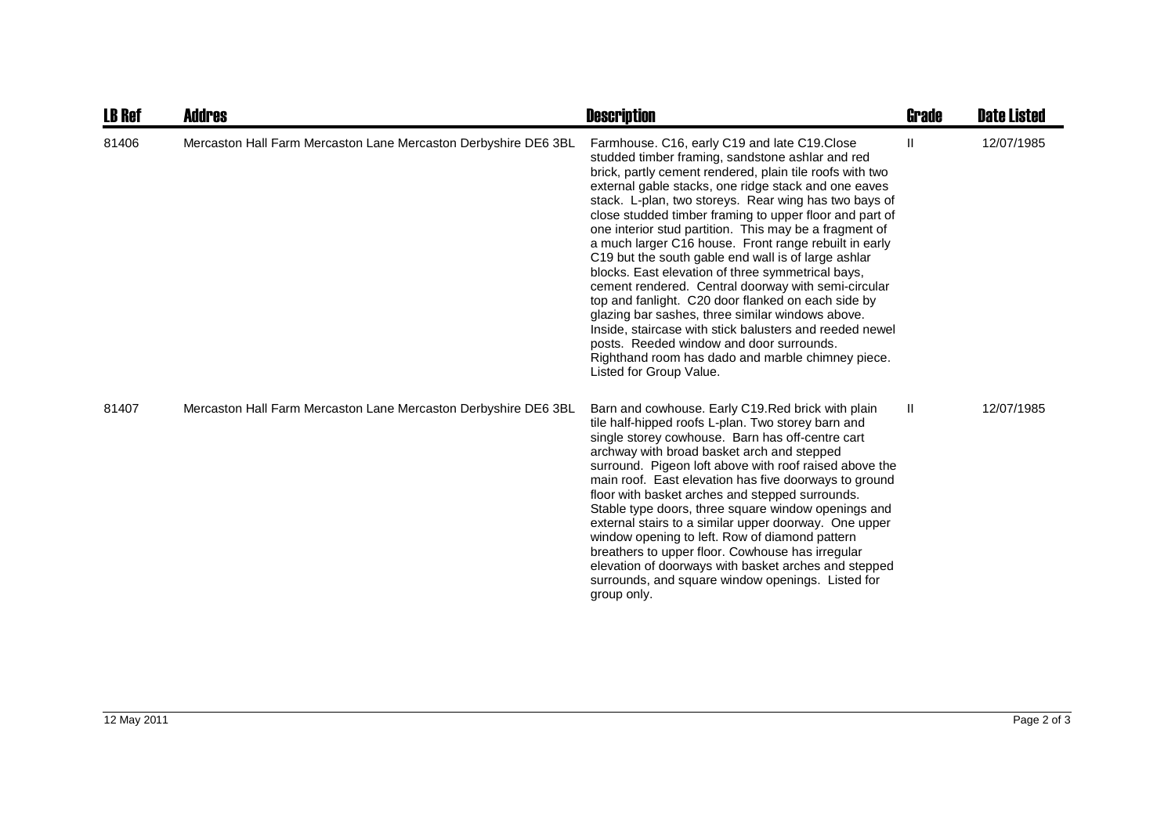| <b>LB Ref</b> | <b>Addres</b>                                                   | <b>Description</b>                                                                                                                                                                                                                                                                                                                                                                                                                                                                                                                                                                                                                                                                                                                                                                                                                                                                                                              | <b>Grade</b> | <b>Date Listed</b> |
|---------------|-----------------------------------------------------------------|---------------------------------------------------------------------------------------------------------------------------------------------------------------------------------------------------------------------------------------------------------------------------------------------------------------------------------------------------------------------------------------------------------------------------------------------------------------------------------------------------------------------------------------------------------------------------------------------------------------------------------------------------------------------------------------------------------------------------------------------------------------------------------------------------------------------------------------------------------------------------------------------------------------------------------|--------------|--------------------|
| 81406         | Mercaston Hall Farm Mercaston Lane Mercaston Derbyshire DE6 3BL | Farmhouse. C16, early C19 and late C19.Close<br>studded timber framing, sandstone ashlar and red<br>brick, partly cement rendered, plain tile roofs with two<br>external gable stacks, one ridge stack and one eaves<br>stack. L-plan, two storeys. Rear wing has two bays of<br>close studded timber framing to upper floor and part of<br>one interior stud partition. This may be a fragment of<br>a much larger C16 house. Front range rebuilt in early<br>C19 but the south gable end wall is of large ashlar<br>blocks. East elevation of three symmetrical bays,<br>cement rendered. Central doorway with semi-circular<br>top and fanlight. C20 door flanked on each side by<br>glazing bar sashes, three similar windows above.<br>Inside, staircase with stick balusters and reeded newel<br>posts. Reeded window and door surrounds.<br>Righthand room has dado and marble chimney piece.<br>Listed for Group Value. | Ш            | 12/07/1985         |
| 81407         | Mercaston Hall Farm Mercaston Lane Mercaston Derbyshire DE6 3BL | Barn and cowhouse. Early C19. Red brick with plain<br>tile half-hipped roofs L-plan. Two storey barn and<br>single storey cowhouse. Barn has off-centre cart<br>archway with broad basket arch and stepped<br>surround. Pigeon loft above with roof raised above the<br>main roof. East elevation has five doorways to ground<br>floor with basket arches and stepped surrounds.<br>Stable type doors, three square window openings and<br>external stairs to a similar upper doorway. One upper<br>window opening to left. Row of diamond pattern<br>breathers to upper floor. Cowhouse has irregular<br>elevation of doorways with basket arches and stepped<br>surrounds, and square window openings. Listed for<br>group only.                                                                                                                                                                                              | $\mathbf{H}$ | 12/07/1985         |